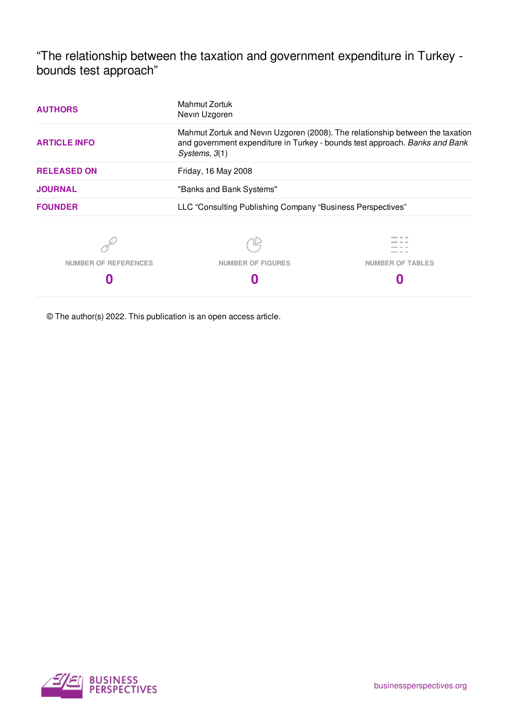"The relationship between the taxation and government expenditure in Turkey bounds test approach"

| <b>AUTHORS</b>              | Mahmut Zortuk<br>Nevin Uzgoren                                                                                                                                                  |                         |  |
|-----------------------------|---------------------------------------------------------------------------------------------------------------------------------------------------------------------------------|-------------------------|--|
| <b>ARTICLE INFO</b>         | Mahmut Zortuk and Nevin Uzgoren (2008). The relationship between the taxation<br>and government expenditure in Turkey - bounds test approach. Banks and Bank<br>Systems, $3(1)$ |                         |  |
| <b>RELEASED ON</b>          | Friday, 16 May 2008                                                                                                                                                             |                         |  |
| <b>JOURNAL</b>              | "Banks and Bank Systems"                                                                                                                                                        |                         |  |
| <b>FOUNDER</b>              | LLC "Consulting Publishing Company "Business Perspectives"                                                                                                                      |                         |  |
|                             |                                                                                                                                                                                 |                         |  |
| <b>NUMBER OF REFERENCES</b> | <b>NUMBER OF FIGURES</b>                                                                                                                                                        | <b>NUMBER OF TABLES</b> |  |
|                             |                                                                                                                                                                                 |                         |  |

© The author(s) 2022. This publication is an open access article.

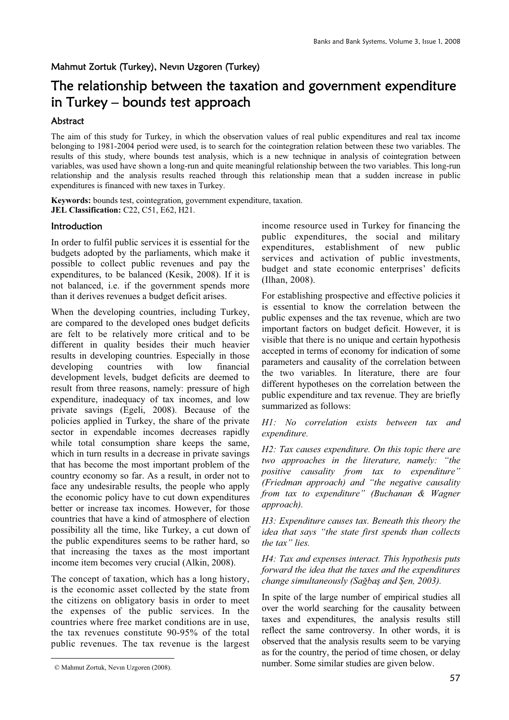## Mahmut Zortuk (Turkey), Nevın Uzgoren (Turkey)

# The relationship between the taxation and government expenditure in Turkey – bounds test approach

## Abstract

The aim of this study for Turkey, in which the observation values of real public expenditures and real tax income belonging to 1981-2004 period were used, is to search for the cointegration relation between these two variables. The results of this study, where bounds test analysis, which is a new technique in analysis of cointegration between variables, was used have shown a long-run and quite meaningful relationship between the two variables. This long-run relationship and the analysis results reached through this relationship mean that a sudden increase in public expenditures is financed with new taxes in Turkey.

**Keywords:** bounds test, cointegration, government expenditure, taxation. **JEL Classification:** C22, C51, E62, H21.

## Introduction i

In order to fulfil public services it is essential for the budgets adopted by the parliaments, which make it possible to collect public revenues and pay the expenditures, to be balanced (Kesik, 2008). If it is not balanced, i.e. if the government spends more than it derives revenues a budget deficit arises.

When the developing countries, including Turkey, are compared to the developed ones budget deficits are felt to be relatively more critical and to be different in quality besides their much heavier results in developing countries. Especially in those developing countries with low financial development levels, budget deficits are deemed to result from three reasons, namely: pressure of high expenditure, inadequacy of tax incomes, and low private savings (Egeli, 2008). Because of the policies applied in Turkey, the share of the private sector in expendable incomes decreases rapidly while total consumption share keeps the same, which in turn results in a decrease in private savings that has become the most important problem of the country economy so far. As a result, in order not to face any undesirable results, the people who apply the economic policy have to cut down expenditures better or increase tax incomes. However, for those countries that have a kind of atmosphere of election possibility all the time, like Turkey, a cut down of the public expenditures seems to be rather hard, so that increasing the taxes as the most important income item becomes very crucial (Alkin, 2008).

The concept of taxation, which has a long history, is the economic asset collected by the state from the citizens on obligatory basis in order to meet the expenses of the public services. In the countries where free market conditions are in use, the tax revenues constitute 90-95% of the total public revenues. The tax revenue is the largest

 $\overline{a}$ 

income resource used in Turkey for financing the public expenditures, the social and military expenditures, establishment of new public services and activation of public investments, budget and state economic enterprises' deficits (Ilhan, 2008).

For establishing prospective and effective policies it is essential to know the correlation between the public expenses and the tax revenue, which are two important factors on budget deficit. However, it is visible that there is no unique and certain hypothesis accepted in terms of economy for indication of some parameters and causality of the correlation between the two variables. In literature, there are four different hypotheses on the correlation between the public expenditure and tax revenue. They are briefly summarized as follows:

*H1: No correlation exists between tax and expenditure.*

*H2: Tax causes expenditure. On this topic there are two approaches in the literature, namely: "the positive causality from tax to expenditure" (Friedman approach) and "the negative causality from tax to expenditure" (Buchanan & Wagner approach).* 

*H3: Expenditure causes tax. Beneath this theory the idea that says "the state first spends than collects the tax" lies.*

*H4: Tax and expenses interact. This hypothesis puts forward the idea that the taxes and the expenditures change simultaneously (Sağbaş and Şen, 2003).* 

In spite of the large number of empirical studies all over the world searching for the causality between taxes and expenditures, the analysis results still reflect the same controversy. In other words, it is observed that the analysis results seem to be varying as for the country, the period of time chosen, or delay number. Some similar studies are given below.

<sup>i</sup>© Mahmut Zortuk, Nevın Uzgoren (2008).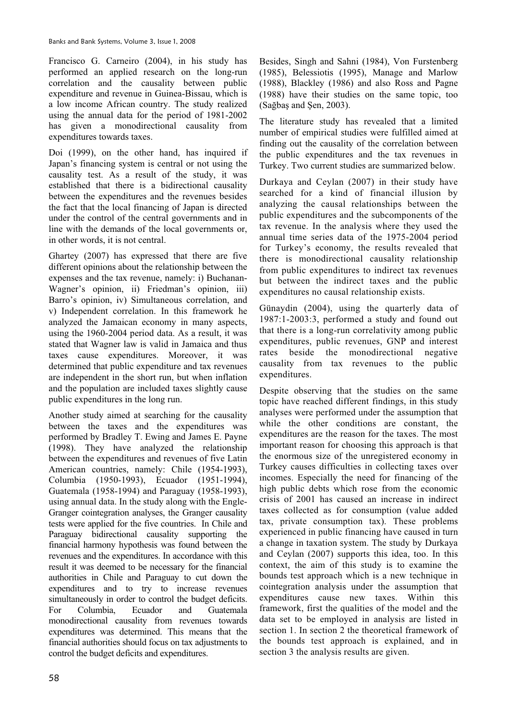Francisco G. Carneiro (2004), in his study has performed an applied research on the long-run correlation and the causality between public expenditure and revenue in Guinea-Bissau, which is a low income African country. The study realized using the annual data for the period of 1981-2002 has given a monodirectional causality from expenditures towards taxes.

Doi (1999), on the other hand, has inquired if Japan's financing system is central or not using the causality test. As a result of the study, it was established that there is a bidirectional causality between the expenditures and the revenues besides the fact that the local financing of Japan is directed under the control of the central governments and in line with the demands of the local governments or, in other words, it is not central.

Ghartey (2007) has expressed that there are five different opinions about the relationship between the expenses and the tax revenue, namely: i) Buchanan-Wagner's opinion, ii) Friedman's opinion, iii) Barro's opinion, iv) Simultaneous correlation, and v) Independent correlation. In this framework he analyzed the Jamaican economy in many aspects, using the 1960-2004 period data. As a result, it was stated that Wagner law is valid in Jamaica and thus taxes cause expenditures. Moreover, it was determined that public expenditure and tax revenues are independent in the short run, but when inflation and the population are included taxes slightly cause public expenditures in the long run.

Another study aimed at searching for the causality between the taxes and the expenditures was performed by Bradley T. Ewing and James E. Payne (1998). They have analyzed the relationship between the expenditures and revenues of five Latin American countries, namely: Chile (1954-1993), Columbia (1950-1993), Ecuador (1951-1994), Guatemala (1958-1994) and Paraguay (1958-1993), using annual data. In the study along with the Engle-Granger cointegration analyses, the Granger causality tests were applied for the five countries. In Chile and Paraguay bidirectional causality supporting the financial harmony hypothesis was found between the revenues and the expenditures. In accordance with this result it was deemed to be necessary for the financial authorities in Chile and Paraguay to cut down the expenditures and to try to increase revenues simultaneously in order to control the budget deficits. For Columbia, Ecuador and Guatemala monodirectional causality from revenues towards expenditures was determined. This means that the financial authorities should focus on tax adjustments to control the budget deficits and expenditures.

Besides, Singh and Sahni (1984), Von Furstenberg (1985), Belessiotis (1995), Manage and Marlow (1988), Blackley (1986) and also Ross and Pagne (1988) have their studies on the same topic, too  $(Sa\check{g}bas$  and Sen, 2003).

The literature study has revealed that a limited number of empirical studies were fulfilled aimed at finding out the causality of the correlation between the public expenditures and the tax revenues in Turkey. Two current studies are summarized below.

Durkaya and Ceylan (2007) in their study have searched for a kind of financial illusion by analyzing the causal relationships between the public expenditures and the subcomponents of the tax revenue. In the analysis where they used the annual time series data of the 1975-2004 period for Turkey's economy, the results revealed that there is monodirectional causality relationship from public expenditures to indirect tax revenues but between the indirect taxes and the public expenditures no causal relationship exists.

Günaydin (2004), using the quarterly data of 1987:1-2003:3, performed a study and found out that there is a long-run correlativity among public expenditures, public revenues, GNP and interest rates beside the monodirectional negative causality from tax revenues to the public expenditures.

Despite observing that the studies on the same topic have reached different findings, in this study analyses were performed under the assumption that while the other conditions are constant, the expenditures are the reason for the taxes. The most important reason for choosing this approach is that the enormous size of the unregistered economy in Turkey causes difficulties in collecting taxes over incomes. Especially the need for financing of the high public debts which rose from the economic crisis of 2001 has caused an increase in indirect taxes collected as for consumption (value added tax, private consumption tax). These problems experienced in public financing have caused in turn a change in taxation system. The study by Durkaya and Ceylan (2007) supports this idea, too. In this context, the aim of this study is to examine the bounds test approach which is a new technique in cointegration analysis under the assumption that expenditures cause new taxes. Within this framework, first the qualities of the model and the data set to be employed in analysis are listed in section 1. In section 2 the theoretical framework of the bounds test approach is explained, and in section 3 the analysis results are given.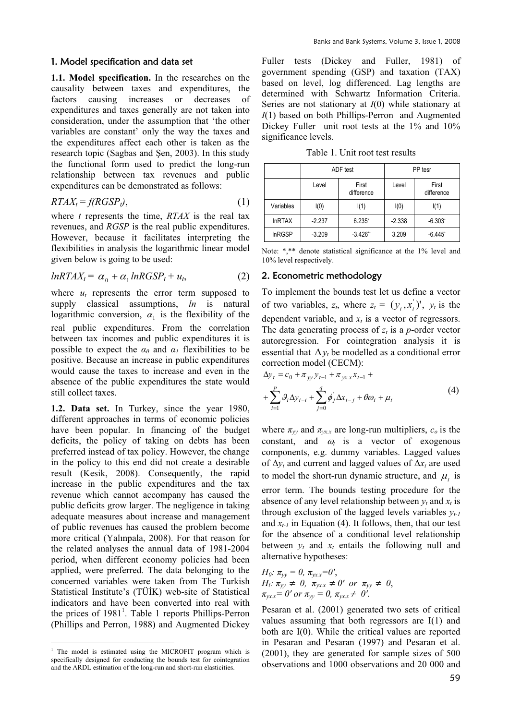#### 1. Model specification and data set

**1.1. Model specification.** In the researches on the causality between taxes and expenditures, the factors causing increases or decreases of expenditures and taxes generally are not taken into consideration, under the assumption that 'the other variables are constant' only the way the taxes and the expenditures affect each other is taken as the research topic (Sagbas and Sen, 2003). In this study the functional form used to predict the long-run relationship between tax revenues and public expenditures can be demonstrated as follows:

$$
RTAX_t = f(RGSP_t),\tag{1}
$$

where *t* represents the time, *RTAX* is the real tax revenues, and *RGSP* is the real public expenditures. However, because it facilitates interpreting the flexibilities in analysis the logarithmic linear model given below is going to be used:

$$
lnRTAX_t = \alpha_0 + \alpha_1 lnRGSP_t + u_t, \qquad (2)
$$

where  $u_t$  represents the error term supposed to supply classical assumptions, *ln* is natural logarithmic conversion,  $\alpha_1$  is the flexibility of the real public expenditures. From the correlation between tax incomes and public expenditures it is possible to expect the  $\alpha_0$  and  $\alpha_1$  flexibilities to be positive. Because an increase in public expenditures would cause the taxes to increase and even in the absence of the public expenditures the state would still collect taxes.

**1.2. Data set.** In Turkey, since the year 1980, different approaches in terms of economic policies have been popular. In financing of the budget deficits, the policy of taking on debts has been preferred instead of tax policy. However, the change in the policy to this end did not create a desirable result (Kesik, 2008). Consequently, the rapid increase in the public expenditures and the tax revenue which cannot accompany has caused the public deficits grow larger. The negligence in taking adequate measures about increase and management of public revenues has caused the problem become more critical (Yalınpala, 2008). For that reason for the related analyses the annual data of 1981-2004 period, when different economy policies had been applied, were preferred. The data belonging to the concerned variables were taken from The Turkish Statistical Institute's (TÜİK) web-site of Statistical indicators and have been converted into real with the prices of  $1981<sup>1</sup>$ . Table 1 reports Phillips-Perron (Phillips and Perron, 1988) and Augmented Dickey

Fuller tests (Dickey and Fuller, 1981) of government spending (GSP) and taxation (TAX) based on level, log differenced. Lag lengths are determined with Schwartz Information Criteria. Series are not stationary at *I*(0) while stationary at *I*(1) based on both Phillips-Perron and Augmented Dickey Fuller unit root tests at the 1% and 10% significance levels.

Table 1. Unit root test results

|               | ADF test |                      | PP tesr  |                       |
|---------------|----------|----------------------|----------|-----------------------|
|               | Level    | First<br>difference  | Level    | First<br>difference   |
| Variables     | I(0)     | I(1)                 | I(0)     | I(1)                  |
| <b>InRTAX</b> | $-2.237$ | $6.235$ <sup>*</sup> | $-2.338$ | $-6.303$ <sup>*</sup> |
| <b>InRGSP</b> | $-3.209$ | $-3.426"$            | 3.209    | $-6.445$ <sup>*</sup> |

Note: \*,\*\* denote statistical significance at the 1% level and 10% level respectively.

## 2. Econometric methodology

To implement the bounds test let us define a vector of two variables,  $z_t$ , where  $z_t = (y_t, x_t)$ ,  $y_t$  is the dependent variable, and  $x_t$  is a vector of regressors. The data generating process of  $z_t$  is a *p*-order vector autoregression. For cointegration analysis it is essential that  $\Delta y_t$  be modelled as a conditional error correction model (CECM):

$$
\Delta y_t = c_0 + \pi_{yy} y_{t-1} + \pi_{yx, x} x_{t-1} + + \sum_{i=1}^p \theta_i \Delta y_{t-i} + \sum_{j=0}^q \phi_j' \Delta x_{t-j} + \theta \omega_t + \mu_t
$$
\n(4)

where  $\pi_{yy}$  and  $\pi_{yx}$  are long-run multipliers,  $c_o$  is the constant, and  $\omega_t$  is a vector of exogenous components, e.g. dummy variables. Lagged values of  $\Delta y_t$  and current and lagged values of  $\Delta x_t$  are used to model the short-run dynamic structure, and  $\mu_t$  is error term. The bounds testing procedure for the absence of any level relationship between  $y_t$  and  $x_t$  is through exclusion of the lagged levels variables  $y_{t-1}$ and  $x_{t-1}$  in Equation (4). It follows, then, that our test for the absence of a conditional level relationship between  $y_t$  and  $x_t$  entails the following null and alternative hypotheses:

*H*<sub>0</sub>: 
$$
\pi_{yy} = 0
$$
,  $\pi_{yx} = 0'$ ,  
\n*H*<sub>1</sub>:  $\pi_{yy} \neq 0$ ,  $\pi_{yx.x} \neq 0'$  or  $\pi_{yy} \neq 0$ ,  
\n $\pi_{yx.x} = 0'$  or  $\pi_{yy} = 0$ ,  $\pi_{yx.x} \neq 0'$ .

Pesaran et al. (2001) generated two sets of critical values assuming that both regressors are I(1) and both are I(0). While the critical values are reported in Pesaran and Pesaran (1997) and Pesaran et al. (2001), they are generated for sample sizes of 500 observations and 1000 observations and 20 000 and

 $\overline{a}$ <sup>1</sup> The model is estimated using the MICROFIT program which is specifically designed for conducting the bounds test for cointegration and the ARDL estimation of the long-run and short-run elasticities.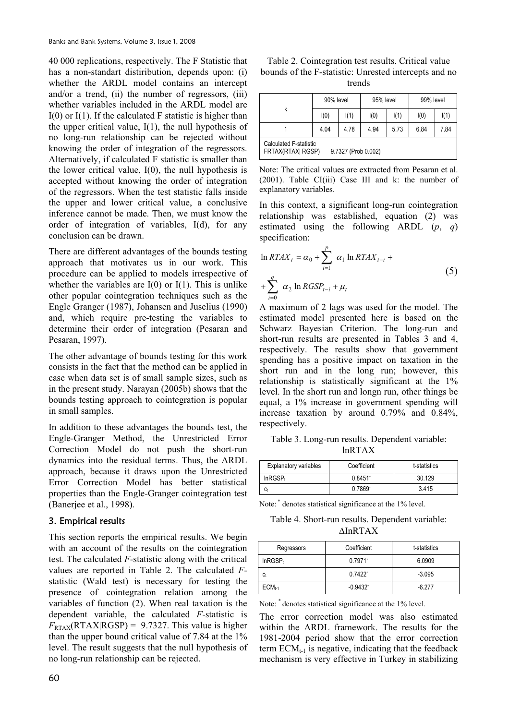40 000 replications, respectively. The F Statistic that has a non-standart distiribution, depends upon: (i) whether the ARDL model contains an intercept and/or a trend, (ii) the number of regressors, (iii) whether variables included in the ARDL model are  $I(0)$  or  $I(1)$ . If the calculated F statistic is higher than the upper critical value,  $I(1)$ , the null hypothesis of no long-run relationship can be rejected without knowing the order of integration of the regressors. Alternatively, if calculated F statistic is smaller than the lower critical value,  $I(0)$ , the null hypothesis is accepted without knowing the order of integration of the regressors. When the test statistic falls inside the upper and lower critical value, a conclusive inference cannot be made. Then, we must know the order of integration of variables, I(d), for any conclusion can be drawn.

There are different advantages of the bounds testing approach that motivates us in our work. This procedure can be applied to models irrespective of whether the variables are  $I(0)$  or  $I(1)$ . This is unlike other popular cointegration techniques such as the Engle Granger (1987), Johansen and Juselius (1990) and, which require pre-testing the variables to determine their order of integration (Pesaran and Pesaran, 1997).

The other advantage of bounds testing for this work consists in the fact that the method can be applied in case when data set is of small sample sizes, such as in the present study. Narayan (2005b) shows that the bounds testing approach to cointegration is popular in small samples.

In addition to these advantages the bounds test, the Engle-Granger Method, the Unrestricted Error Correction Model do not push the short-run dynamics into the residual terms. Thus, the ARDL approach, because it draws upon the Unrestricted Error Correction Model has better statistical properties than the Engle-Granger cointegration test (Banerjee et al., 1998).

### 3. Empirical results

This section reports the empirical results. We begin with an account of the results on the cointegration test. The calculated *F*-statistic along with the critical values are reported in Table 2. The calculated *F*statistic (Wald test) is necessary for testing the presence of cointegration relation among the variables of function (2). When real taxation is the dependent variable, the calculated *F*-statistic is  $F_{\text{RTAX}}(\text{RTAX}|\text{RGSP}) = 9.7327$ . This value is higher than the upper bound critical value of 7.84 at the 1% level. The result suggests that the null hypothesis of no long-run relationship can be rejected.

Table 2. Cointegration test results. Critical value bounds of the F-statistic: Unrested intercepts and no trends

|                                                                           | 90% level |      | 95% level |      | 99% level |      |
|---------------------------------------------------------------------------|-----------|------|-----------|------|-----------|------|
| k                                                                         | I(0)      | I(1) | I(0)      | I(1) | I(0)      | I(1) |
|                                                                           | 4.04      | 4.78 | 4.94      | 5.73 | 6.84      | 7.84 |
| <b>Calculated F-statistic</b><br>FRTAX(RTAX) RGSP)<br>9.7327 (Prob 0.002) |           |      |           |      |           |      |

Note: The critical values are extracted from Pesaran et al. (2001). Table CI(iii) Case III and k: the number of explanatory variables.

In this context, a significant long-run cointegration relationship was established, equation (2) was estimated using the following ARDL (*p*, *q*) specification:

$$
\ln RTAX_{t} = \alpha_{0} + \sum_{i=1}^{p} \alpha_{1} \ln RTAX_{t-i} + \sum_{i=0}^{q} \alpha_{2} \ln RGSP_{t-i} + \mu_{t}
$$
\n(5)

A maximum of 2 lags was used for the model. The estimated model presented here is based on the Schwarz Bayesian Criterion. The long-run and short-run results are presented in Tables 3 and 4, respectively. The results show that government spending has a positive impact on taxation in the short run and in the long run; however, this relationship is statistically significant at the 1% level. In the short run and longn run, other things be equal, a 1% increase in government spending will increase taxation by around 0.79% and 0.84%, respectively.

Table 3. Long-run results. Dependent variable: lnRTAX

| <b>Explanatory variables</b> | Coefficient | t-statistics |
|------------------------------|-------------|--------------|
| InRGSP <sub>t</sub>          | 0.8451      | 30.129       |
|                              | $0.7869^*$  | 3.415        |

Note: \* denotes statistical significance at the 1% level.

Table 4. Short-run results. Dependent variable:  $\Lambda$ InRTAX

| Regressors          | Coefficient           | t-statistics |
|---------------------|-----------------------|--------------|
| InRGSP <sub>t</sub> | $0.7971$ <sup>*</sup> | 6.0909       |
| Сt                  | $0.7422^*$            | $-3.095$     |
| $ECMt-1$            | $-0.9432$             | $-6.277$     |

Note: \* denotes statistical significance at the 1% level.

The error correction model was also estimated within the ARDL framework. The results for the 1981-2004 period show that the error correction term  $ECM_{t-1}$  is negative, indicating that the feedback mechanism is very effective in Turkey in stabilizing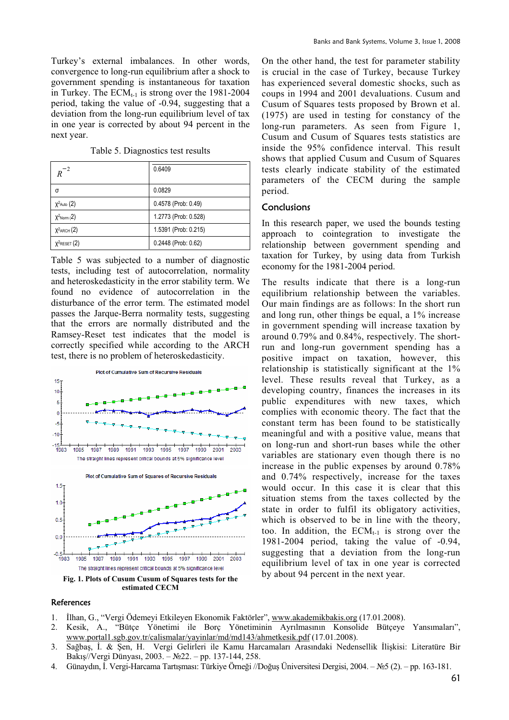Turkey's external imbalances. In other words, convergence to long-run equilibrium after a shock to government spending is instantaneous for taxation in Turkey. The  $ECM_{t-1}$  is strong over the 1981-2004 period, taking the value of -0.94, suggesting that a deviation from the long-run equilibrium level of tax in one year is corrected by about 94 percent in the next year.

Table 5. Diagnostics test results

| $^{-2}$<br>R      | 0.6409               |
|-------------------|----------------------|
| σ                 | 0.0829               |
| $X^2$ Auto $(2)$  | 0.4578 (Prob: 0.49)  |
| $X^2$ Norm (2)    | 1.2773 (Prob: 0.528) |
| $X^2$ ARCH $(2)$  | 1.5391 (Prob: 0.215) |
| $X^2$ RESET $(2)$ | 0.2448 (Prob: 0.62)  |

Table 5 was subjected to a number of diagnostic tests, including test of autocorrelation, normality and heteroskedasticity in the error stability term. We found no evidence of autocorrelation in the disturbance of the error term. The estimated model passes the Jarque-Berra normality tests, suggesting that the errors are normally distributed and the Ramsey-Reset test indicates that the model is correctly specified while according to the ARCH test, there is no problem of heteroskedasticity.



**References** 

1. İlhan, G., "Vergi Ödemeyi Etkileyen Ekonomik Faktörler", www.akademikbakis.org (17.01.2008).

- 2. Kesik, A., "Bütçe Yönetimi ile Borç Yönetiminin Ayrılmasının Konsolide Bütçeye Yansımaları", www.portal1.sgb.gov.tr/calismalar/yayinlar/md/md143/ahmetkesik.pdf (17.01.2008).
- 3. Sağbaş, İ. & Şen, H. Vergi Gelirleri ile Kamu Harcamaları Arasındaki Nedensellik İlişkisi: Literatüre Bir Bakış//Vergi Dünyası, 2003. – №22. – pp. 137-144, 258.
- 4. Günaydın, İ. Vergi-Harcama Tartışması: Türkiye Örneği //Doğuş Üniversitesi Dergisi, 2004. №5 (2). pp. 163-181.

On the other hand, the test for parameter stability is crucial in the case of Turkey, because Turkey has experienced several domestic shocks, such as coups in 1994 and 2001 devaluations. Cusum and Cusum of Squares tests proposed by Brown et al. (1975) are used in testing for constancy of the long-run parameters. As seen from Figure 1, Cusum and Cusum of Squares tests statistics are inside the 95% confidence interval. This result shows that applied Cusum and Cusum of Squares tests clearly indicate stability of the estimated parameters of the CECM during the sample period.

## **Conclusions**

In this research paper, we used the bounds testing approach to cointegration to investigate the relationship between government spending and taxation for Turkey, by using data from Turkish economy for the 1981-2004 period.

The results indicate that there is a long-run equilibrium relationship between the variables. Our main findings are as follows: In the short run and long run, other things be equal, a 1% increase in government spending will increase taxation by around 0.79% and 0.84%, respectively. The shortrun and long-run government spending has a positive impact on taxation, however, this relationship is statistically significant at the 1% level. These results reveal that Turkey, as a developing country, finances the increases in its public expenditures with new taxes, which complies with economic theory. The fact that the constant term has been found to be statistically meaningful and with a positive value, means that on long-run and short-run bases while the other variables are stationary even though there is no increase in the public expenses by around 0.78% and 0.74% respectively, increase for the taxes would occur. In this case it is clear that this situation stems from the taxes collected by the state in order to fulfil its obligatory activities, which is observed to be in line with the theory, too. In addition, the  $ECM_{t-1}$  is strong over the 1981-2004 period, taking the value of -0.94, suggesting that a deviation from the long-run equilibrium level of tax in one year is corrected by about 94 percent in the next year.